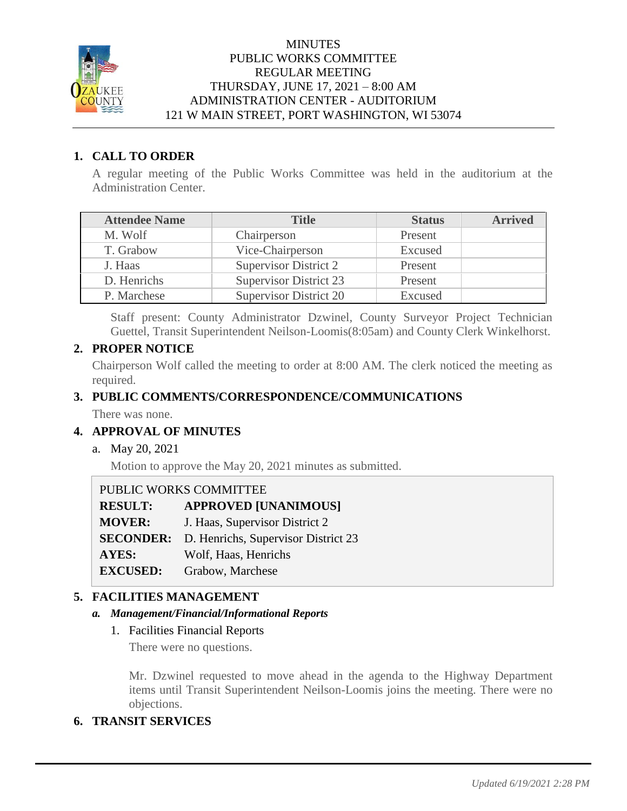

#### **MINUTES** PUBLIC WORKS COMMITTEE REGULAR MEETING THURSDAY, JUNE 17, 2021 – 8:00 AM ADMINISTRATION CENTER - AUDITORIUM 121 W MAIN STREET, PORT WASHINGTON, WI 53074

### **1. CALL TO ORDER**

A regular meeting of the Public Works Committee was held in the auditorium at the Administration Center.

| <b>Attendee Name</b> | <b>Title</b>                  | <b>Status</b> | <b>Arrived</b> |
|----------------------|-------------------------------|---------------|----------------|
| M. Wolf              | Chairperson                   | Present       |                |
| T. Grabow            | Vice-Chairperson              | Excused       |                |
| J. Haas              | Supervisor District 2         | Present       |                |
| D. Henrichs          | <b>Supervisor District 23</b> | Present       |                |
| P. Marchese          | <b>Supervisor District 20</b> | Excused       |                |

Staff present: County Administrator Dzwinel, County Surveyor Project Technician Guettel, Transit Superintendent Neilson-Loomis(8:05am) and County Clerk Winkelhorst.

# **2. PROPER NOTICE**

Chairperson Wolf called the meeting to order at 8:00 AM. The clerk noticed the meeting as required.

# **3. PUBLIC COMMENTS/CORRESPONDENCE/COMMUNICATIONS**

There was none.

# **4. APPROVAL OF MINUTES**

a. May 20, 2021

Motion to approve the May 20, 2021 minutes as submitted.

| PUBLIC WORKS COMMITTEE |                                     |
|------------------------|-------------------------------------|
| <b>RESULT:</b>         | <b>APPROVED [UNANIMOUS]</b>         |
| <b>MOVER:</b>          | J. Haas, Supervisor District 2      |
| <b>SECONDER:</b>       | D. Henrichs, Supervisor District 23 |
| <b>AYES:</b>           | Wolf, Haas, Henrichs                |
| <b>EXCUSED:</b>        | Grabow, Marchese                    |

### **5. FACILITIES MANAGEMENT**

#### *a. Management/Financial/Informational Reports*

1. Facilities Financial Reports

There were no questions.

Mr. Dzwinel requested to move ahead in the agenda to the Highway Department items until Transit Superintendent Neilson-Loomis joins the meeting. There were no objections.

### **6. TRANSIT SERVICES**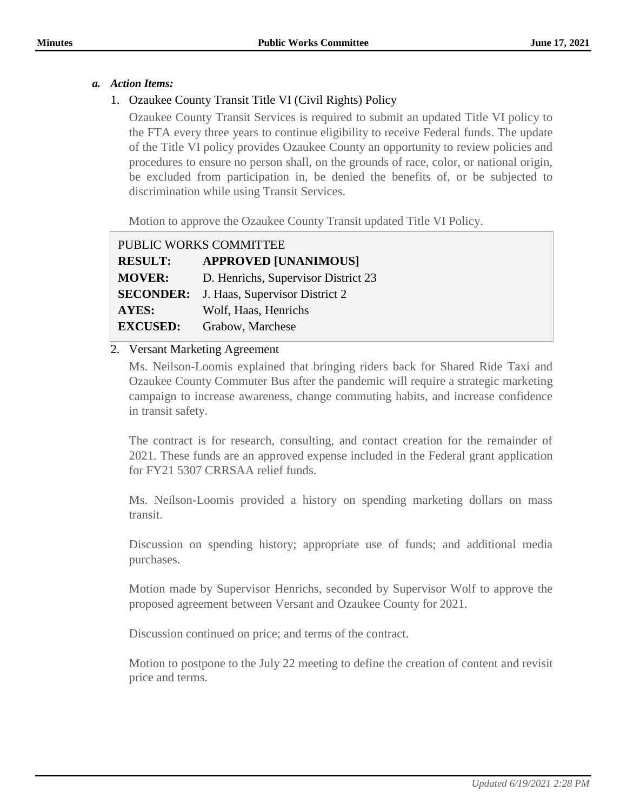#### *a. Action Items:*

### 1. Ozaukee County Transit Title VI (Civil Rights) Policy

Ozaukee County Transit Services is required to submit an updated Title VI policy to the FTA every three years to continue eligibility to receive Federal funds. The update of the Title VI policy provides Ozaukee County an opportunity to review policies and procedures to ensure no person shall, on the grounds of race, color, or national origin, be excluded from participation in, be denied the benefits of, or be subjected to discrimination while using Transit Services.

Motion to approve the Ozaukee County Transit updated Title VI Policy.

| PUBLIC WORKS COMMITTEE |                                     |
|------------------------|-------------------------------------|
| <b>RESULT:</b>         | <b>APPROVED [UNANIMOUS]</b>         |
| <b>MOVER:</b>          | D. Henrichs, Supervisor District 23 |
| <b>SECONDER:</b>       | J. Haas, Supervisor District 2      |
| AYES:                  | Wolf, Haas, Henrichs                |
| <b>EXCUSED:</b>        | Grabow, Marchese                    |

#### 2. Versant Marketing Agreement

Ms. Neilson-Loomis explained that bringing riders back for Shared Ride Taxi and Ozaukee County Commuter Bus after the pandemic will require a strategic marketing campaign to increase awareness, change commuting habits, and increase confidence in transit safety.

The contract is for research, consulting, and contact creation for the remainder of 2021. These funds are an approved expense included in the Federal grant application for FY21 5307 CRRSAA relief funds.

Ms. Neilson-Loomis provided a history on spending marketing dollars on mass transit.

Discussion on spending history; appropriate use of funds; and additional media purchases.

Motion made by Supervisor Henrichs, seconded by Supervisor Wolf to approve the proposed agreement between Versant and Ozaukee County for 2021.

Discussion continued on price; and terms of the contract.

Motion to postpone to the July 22 meeting to define the creation of content and revisit price and terms.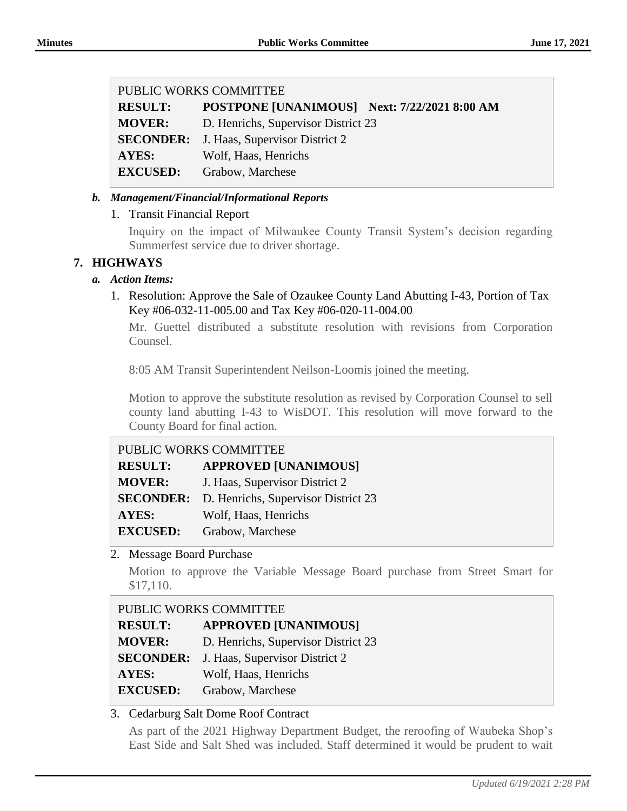#### PUBLIC WORKS COMMITTEE

**RESULT: POSTPONE [UNANIMOUS] Next: 7/22/2021 8:00 AM MOVER:** D. Henrichs, Supervisor District 23 **SECONDER:** J. Haas, Supervisor District 2 **AYES:** Wolf, Haas, Henrichs **EXCUSED:** Grabow, Marchese

### *b. Management/Financial/Informational Reports*

# 1. Transit Financial Report

Inquiry on the impact of Milwaukee County Transit System's decision regarding Summerfest service due to driver shortage.

# **7. HIGHWAYS**

### *a. Action Items:*

1. Resolution: Approve the Sale of Ozaukee County Land Abutting I-43, Portion of Tax Key #06-032-11-005.00 and Tax Key #06-020-11-004.00

Mr. Guettel distributed a substitute resolution with revisions from Corporation Counsel.

8:05 AM Transit Superintendent Neilson-Loomis joined the meeting.

Motion to approve the substitute resolution as revised by Corporation Counsel to sell county land abutting I-43 to WisDOT. This resolution will move forward to the County Board for final action.

| PUBLIC WORKS COMMITTEE |                                     |
|------------------------|-------------------------------------|
| <b>RESULT:</b>         | <b>APPROVED [UNANIMOUS]</b>         |
| <b>MOVER:</b>          | J. Haas, Supervisor District 2      |
| <b>SECONDER:</b>       | D. Henrichs, Supervisor District 23 |
| <b>AYES:</b>           | Wolf, Haas, Henrichs                |
| <b>EXCUSED:</b>        | Grabow, Marchese                    |

2. Message Board Purchase

Motion to approve the Variable Message Board purchase from Street Smart for \$17,110.

| PUBLIC WORKS COMMITTEE |                                                 |
|------------------------|-------------------------------------------------|
| <b>RESULT:</b>         | <b>APPROVED [UNANIMOUS]</b>                     |
| <b>MOVER:</b>          | D. Henrichs, Supervisor District 23             |
|                        | <b>SECONDER:</b> J. Haas, Supervisor District 2 |
| AYES:                  | Wolf, Haas, Henrichs                            |
| <b>EXCUSED:</b>        | Grabow, Marchese                                |

### 3. Cedarburg Salt Dome Roof Contract

As part of the 2021 Highway Department Budget, the reroofing of Waubeka Shop's East Side and Salt Shed was included. Staff determined it would be prudent to wait